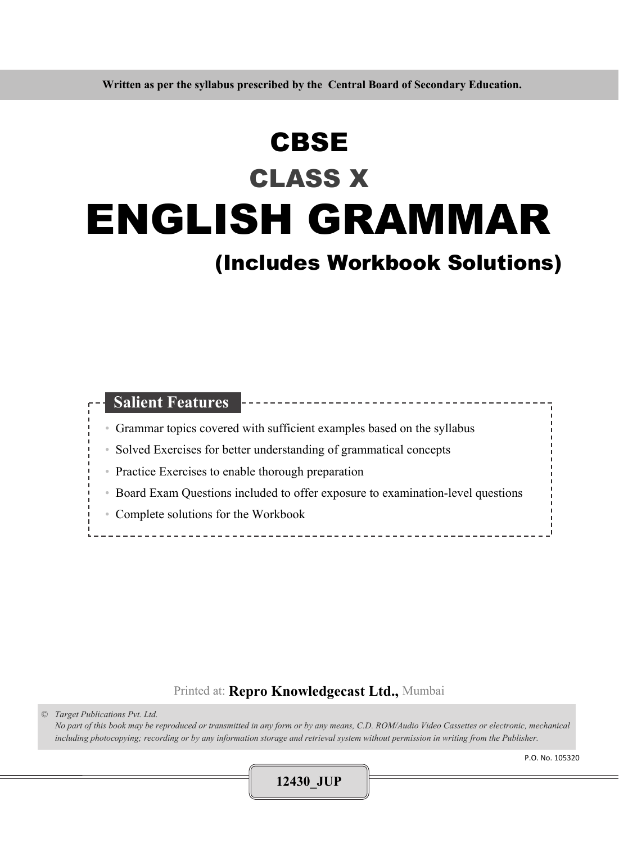# ENGLISH GRAMMAR **CBSE** CLASS X

# (Includes Workbook Solutions)

| <b>Salient Features</b><br>-----------                                                       |  |
|----------------------------------------------------------------------------------------------|--|
| Grammar topics covered with sufficient examples based on the syllabus<br>$\circ$             |  |
| Solved Exercises for better understanding of grammatical concepts<br>$\quad \  \  \, \oplus$ |  |
| • Practice Exercises to enable thorough preparation                                          |  |
|                                                                                              |  |
| Board Exam Questions included to offer exposure to examination-level questions<br>$\circ$    |  |
| • Complete solutions for the Workbook                                                        |  |
|                                                                                              |  |

# Printed at: **Repro Knowledgecast Ltd.,** Mumbai

*© Target Publications Pvt. Ltd. No part of this book may be reproduced or transmitted in any form or by any means, C.D. ROM/Audio Video Cassettes or electronic, mechanical including photocopying; recording or by any information storage and retrieval system without permission in writing from the Publisher.* 

**12430\_JUP**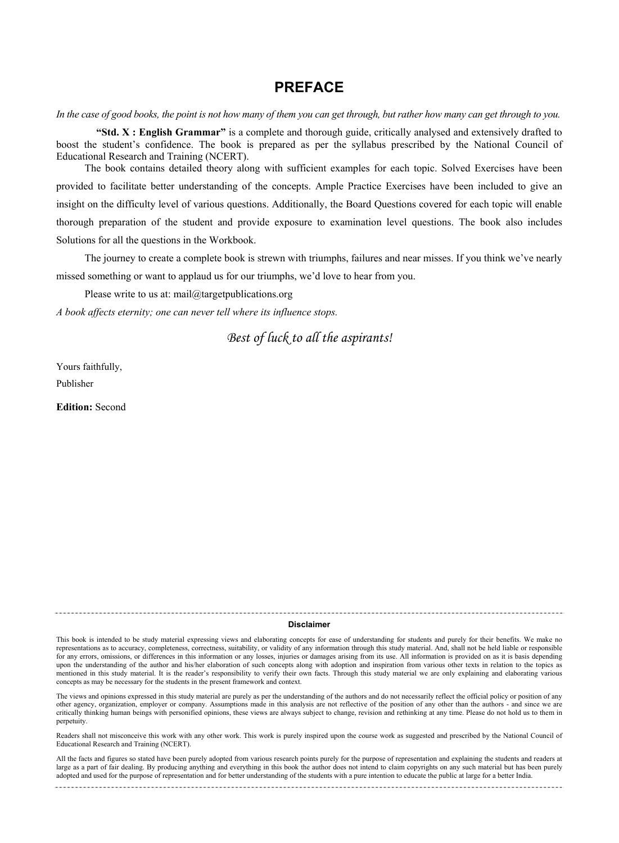## **PREFACE**

*In the case of good books, the point is not how many of them you can get through, but rather how many can get through to you.* 

 **"Std. X : English Grammar"** is a complete and thorough guide, critically analysed and extensively drafted to boost the student's confidence. The book is prepared as per the syllabus prescribed by the National Council of Educational Research and Training (NCERT).

 The book contains detailed theory along with sufficient examples for each topic. Solved Exercises have been provided to facilitate better understanding of the concepts. Ample Practice Exercises have been included to give an insight on the difficulty level of various questions. Additionally, the Board Questions covered for each topic will enable thorough preparation of the student and provide exposure to examination level questions. The book also includes Solutions for all the questions in the Workbook.

 The journey to create a complete book is strewn with triumphs, failures and near misses. If you think we've nearly missed something or want to applaud us for our triumphs, we'd love to hear from you.

Please write to us at: mail@targetpublications.org

*A book affects eternity; one can never tell where its influence stops.* 

*Best of luck to all the aspirants!* 

Yours faithfully,

Publisher

**Edition:** Second

#### **Disclaimer**

This book is intended to be study material expressing views and elaborating concepts for ease of understanding for students and purely for their benefits. We make no representations as to accuracy, completeness, correctness, suitability, or validity of any information through this study material. And, shall not be held liable or responsible for any errors, omissions, or differences in this information or any losses, injuries or damages arising from its use. All information is provided on as it is basis depending upon the understanding of the author and his/her elaboration of such concepts along with adoption and inspiration from various other texts in relation to the topics as mentioned in this study material. It is the reader's responsibility to verify their own facts. Through this study material we are only explaining and elaborating various concepts as may be necessary for the students in the present framework and context.

The views and opinions expressed in this study material are purely as per the understanding of the authors and do not necessarily reflect the official policy or position of any other agency, organization, employer or company. Assumptions made in this analysis are not reflective of the position of any other than the authors - and since we are critically thinking human beings with personified opinions, these views are always subject to change, revision and rethinking at any time. Please do not hold us to them in perpetuity.

Readers shall not misconceive this work with any other work. This work is purely inspired upon the course work as suggested and prescribed by the National Council of Educational Research and Training (NCERT).

All the facts and figures so stated have been purely adopted from various research points purely for the purpose of representation and explaining the students and readers at large as a part of fair dealing. By producing anything and everything in this book the author does not intend to claim copyrights on any such material but has been purely adopted and used for the purpose of representation and for better understanding of the students with a pure intention to educate the public at large for a better India.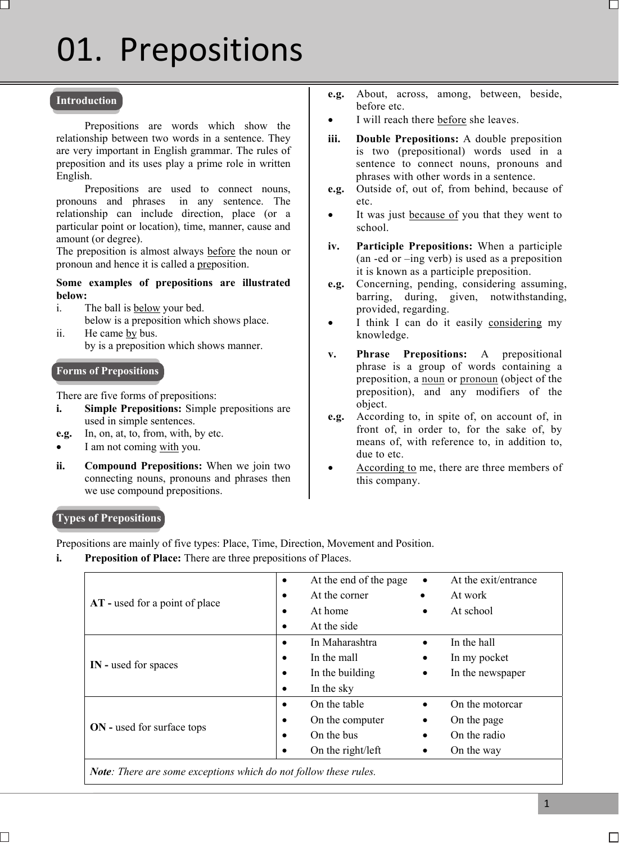# $\overline{1}$ 01. Prepositions

#### **Introduction**

 Prepositions are words which show the relationship between two words in a sentence. They are very important in English grammar. The rules of preposition and its uses play a prime role in written English.

 Prepositions are used to connect nouns, pronouns and phrases in any sentence. The relationship can include direction, place (or a particular point or location), time, manner, cause and amount (or degree).

The preposition is almost always before the noun or pronoun and hence it is called a preposition.

#### **Some examples of prepositions are illustrated below:**

- i. The ball is below your bed. below is a preposition which shows place.
- ii. He came by bus. by is a preposition which shows manner.

#### **Forms of Prepositions**

There are five forms of prepositions:

- **i.** Simple Prepositions: Simple prepositions are used in simple sentences.
- **e.g.** In, on, at, to, from, with, by etc.
- I am not coming with you.
- **ii. Compound Prepositions:** When we join two connecting nouns, pronouns and phrases then we use compound prepositions.
- **e.g.** About, across, among, between, beside, before etc.
- I will reach there before she leaves.
- **iii. Double Prepositions:** A double preposition is two (prepositional) words used in a sentence to connect nouns, pronouns and phrases with other words in a sentence.
- **e.g.** Outside of, out of, from behind, because of etc.
- It was just **because of** you that they went to school.
- **iv. Participle Prepositions:** When a participle (an -ed or –ing verb) is used as a preposition it is known as a participle preposition.
- **e.g.** Concerning, pending, considering assuming, barring, during, given, notwithstanding, provided, regarding.
- I think I can do it easily considering my knowledge.
- **v. Phrase Prepositions:** A prepositional phrase is a group of words containing a preposition, a noun or pronoun (object of the preposition), and any modifiers of the object.
- **e.g.** According to, in spite of, on account of, in front of, in order to, for the sake of, by means of, with reference to, in addition to, due to etc.
- According to me, there are three members of this company.

#### **Types of Prepositions**

Ī

Prepositions are mainly of five types: Place, Time, Direction, Movement and Position.

**i.** Preposition of Place: There are three prepositions of Places.

|                                   | At the end of the page<br>$\bullet$ | At the exit/entrance<br>$\bullet$ |
|-----------------------------------|-------------------------------------|-----------------------------------|
| AT - used for a point of place    | At the corner<br>$\bullet$          | At work<br>$\bullet$              |
|                                   | At home<br>٠                        | At school<br>$\bullet$            |
|                                   | At the side<br>٠                    |                                   |
|                                   | In Maharashtra<br>$\bullet$         | In the hall<br>$\bullet$          |
|                                   | In the mall<br>$\bullet$            | In my pocket<br>$\bullet$         |
| IN - used for spaces              | In the building<br>$\bullet$        | In the newspaper<br>$\bullet$     |
|                                   | In the sky<br>٠                     |                                   |
|                                   | On the table<br>$\bullet$           | On the motorcar<br>$\bullet$      |
| <b>ON</b> - used for surface tops | On the computer<br>$\bullet$        | On the page<br>$\bullet$          |
|                                   | On the bus<br>$\bullet$             | On the radio<br>$\bullet$         |
|                                   | On the right/left<br>٠              | On the way<br>٠                   |
|                                   |                                     |                                   |

*Note: There are some exceptions which do not follow these rules.*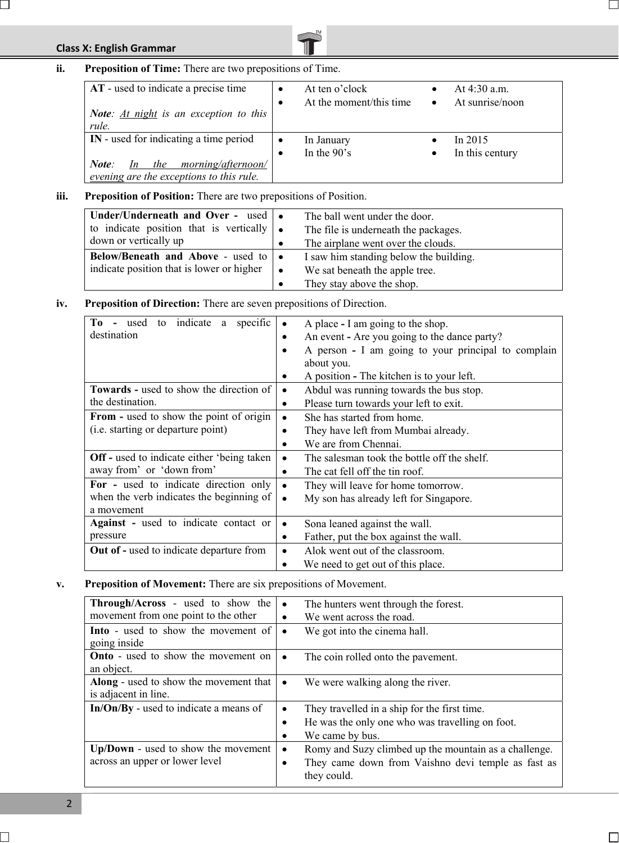# **Class X: English Grammar**

 $\Box$ 



| AT - used to indicate a precise time<br><b>Note:</b> $At night$ is an exception to this<br>rule. |  | At ten o'clock<br>At the moment/this time | $\bullet$ | At $4:30$ a.m.<br>At sunrise/noon |
|--------------------------------------------------------------------------------------------------|--|-------------------------------------------|-----------|-----------------------------------|
| IN - used for indicating a time period                                                           |  | In January                                |           | In $2015$                         |
|                                                                                                  |  | In the $90's$                             |           | In this century                   |
| morning/afternoon/<br>the<br>Note:<br>In                                                         |  |                                           |           |                                   |
| evening are the exceptions to this rule.                                                         |  |                                           |           |                                   |

#### **iii. Preposition of Position:** There are two prepositions of Position.

| Under/Underneath and Over - used   •<br>to indicate position that is vertically $\bullet$<br>down or vertically up |     | The ball went under the door.<br>The file is underneath the packages.<br>The airplane went over the clouds. |
|--------------------------------------------------------------------------------------------------------------------|-----|-------------------------------------------------------------------------------------------------------------|
| Below/Beneath and Above - used to   •<br>indicate position that is lower or higher                                 | - 0 | I saw him standing below the building.<br>We sat beneath the apple tree.<br>They stay above the shop.       |

## **iv. Preposition of Direction:** There are seven prepositions of Direction.

| Tо<br>to indicate a<br>specific<br>used            |           | A place - I am going to the shop.                   |
|----------------------------------------------------|-----------|-----------------------------------------------------|
| destination                                        | ٠         | An event - Are you going to the dance party?        |
|                                                    |           | A person - I am going to your principal to complain |
|                                                    |           | about you.                                          |
|                                                    | ٠         | A position - The kitchen is to your left.           |
| <b>Towards - used to show the direction of</b>     | $\bullet$ | Abdul was running towards the bus stop.             |
| the destination.                                   | $\bullet$ | Please turn towards your left to exit.              |
| <b>From - used to show the point of origin</b>     | $\bullet$ | She has started from home.                          |
| ( <i>i.e.</i> starting or departure point)         |           | They have left from Mumbai already.                 |
|                                                    |           | We are from Chennai.                                |
| <b>Off</b> - used to indicate either 'being taken' | $\bullet$ | The salesman took the bottle off the shelf.         |
| away from' or 'down from'                          | $\bullet$ | The cat fell off the tin roof.                      |
| For - used to indicate direction only              | $\bullet$ | They will leave for home tomorrow.                  |
| when the verb indicates the beginning of           | $\bullet$ | My son has already left for Singapore.              |
| a movement                                         |           |                                                     |
| <b>Against</b> - used to indicate contact or       | $\bullet$ | Sona leaned against the wall.                       |
| pressure                                           | ٠         | Father, put the box against the wall.               |
| <b>Out of - used to indicate departure from</b>    |           | Alok went out of the classroom.                     |
|                                                    |           | We need to get out of this place.                   |

### **v. Preposition of Movement:** There are six prepositions of Movement.

| <b>Through/Across</b> - used to show the<br>movement from one point to the other | The hunters went through the forest.<br>$\bullet$<br>We went across the road.<br>٠                                                                        |
|----------------------------------------------------------------------------------|-----------------------------------------------------------------------------------------------------------------------------------------------------------|
| <b>Into</b> - used to show the movement of                                       | We got into the cinema hall.                                                                                                                              |
| going inside                                                                     | $\bullet$                                                                                                                                                 |
| <b>Onto</b> - used to show the movement on                                       | The coin rolled onto the pavement.                                                                                                                        |
| an object.                                                                       | $\bullet$                                                                                                                                                 |
| <b>Along</b> - used to show the movement that                                    | We were walking along the river.                                                                                                                          |
| is adjacent in line.                                                             | $\bullet$                                                                                                                                                 |
| In/On/By - used to indicate a means of                                           | They travelled in a ship for the first time.<br>$\bullet$<br>He was the only one who was travelling on foot.<br>$\bullet$<br>We came by bus.<br>$\bullet$ |
| Up/Down - used to show the movement<br>across an upper or lower level            | Romy and Suzy climbed up the mountain as a challenge.<br>$\bullet$<br>They came down from Vaishno devi temple as fast as<br>٠<br>they could.              |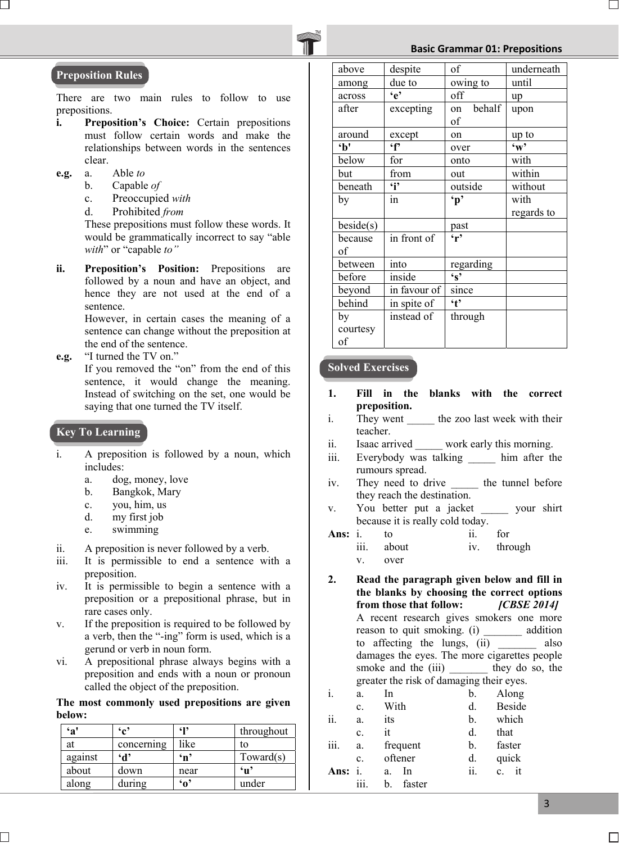#### **Basic Grammar 01: Prepositions**



#### **Preposition Rules**

There are two main rules to follow to use prepositions.

- **i. Preposition's Choice:** Certain prepositions must follow certain words and make the relationships between words in the sentences clear.
- **e.g.** a. Able *to*
	- b. Capable *of*
	- c. Preoccupied *with*
	- d. Prohibited *from*

 These prepositions must follow these words. It would be grammatically incorrect to say "able *with*" or "capable *to"* 

**ii. Preposition's Position:** Prepositions are followed by a noun and have an object, and hence they are not used at the end of a sentence.

> However, in certain cases the meaning of a sentence can change without the preposition at the end of the sentence.

**e.g.** "I turned the TV on."

 If you removed the "on" from the end of this sentence, it would change the meaning. Instead of switching on the set, one would be saying that one turned the TV itself.

#### **Key To Learning**

Ī

- i. A preposition is followed by a noun, which includes:
	- a. dog, money, love
	- b. Bangkok, Mary
	- c. you, him, us
	- d. my first job
	- e. swimming
- ii. A preposition is never followed by a verb.
- iii. It is permissible to end a sentence with a preposition.
- iv. It is permissible to begin a sentence with a preposition or a prepositional phrase, but in rare cases only.
- v. If the preposition is required to be followed by a verb, then the "-ing" form is used, which is a gerund or verb in noun form.
- vi. A prepositional phrase always begins with a preposition and ends with a noun or pronoun called the object of the preposition.

#### **The most commonly used prepositions are given below:**

| `a'     | $\mathbf{G}^{\bullet}$ | 619          | throughout |
|---------|------------------------|--------------|------------|
| at      | concerning             | like         | to         |
| against | $\mathbf{d}$           | $\mathbf{m}$ | Toward(s)  |
| about   | down                   | near         | 'ս'        |
| along   | during                 | 'ი'          | under      |

| above     | despite      | of                               | underneath   |
|-----------|--------------|----------------------------------|--------------|
| among     | due to       | owing to                         | until        |
| across    | $\mathbf{e}$ | off                              | up           |
| after     | excepting    | behalf<br>on                     | upon         |
|           |              | of                               |              |
| around    | except       | on                               | up to        |
| b'        | $\mathbf{f}$ | over                             | $\mathbf{w}$ |
| below     | for          | onto                             | with         |
| but       | from         | out                              | within       |
| beneath   | $\ddot{i}$   | outside                          | without      |
| by        | in           | $\mathbf{p}$                     | with         |
|           |              |                                  | regards to   |
| beside(s) |              | past                             |              |
| because   | in front of  | $\overline{\mathbf{r}^{\prime}}$ |              |
| of        |              |                                  |              |
| between   | into         | regarding                        |              |
| before    | inside       | $\mathbf{s}$                     |              |
| beyond    | in favour of | since                            |              |
| behind    | in spite of  | $\cdot$ t                        |              |
| by        | instead of   | through                          |              |
| courtesy  |              |                                  |              |
| of        |              |                                  |              |

#### **Solved Exercises**

- **1. Fill in the blanks with the correct preposition.**
- i. They went \_\_\_\_\_\_ the zoo last week with their teacher.
- ii. Isaac arrived work early this morning.
- iii. Everybody was talking him after the rumours spread.
- iv. They need to drive the tunnel before they reach the destination.
- v. You better put a jacket \_\_\_\_\_ your shirt because it is really cold today.

| Ans: $i$ . | to         | for         |
|------------|------------|-------------|
|            | iii. about | iv. through |
|            | over       |             |

**2. Read the paragraph given below and fill in the blanks by choosing the correct options from those that follow:** *[CBSE 2014]* A recent research gives smokers one more reason to quit smoking. (i) addition to affecting the lungs, (ii) \_\_\_\_\_\_\_ also damages the eyes. The more cigarettes people smoke and the (iii) they do so, the greater the risk of damaging their eyes.

| i.   | a.             | In           | b.  | Along             |
|------|----------------|--------------|-----|-------------------|
|      | c.             | With         | d.  | <b>Beside</b>     |
| ii.  | a.             | its          | b.  | which             |
|      | $\mathbf{c}$ . | it           | d.  | that              |
| iii. | a.             | frequent     | b.  | faster            |
|      | $\mathbf{c}$ . | oftener      | d.  | quick             |
| Ans: |                | In<br>a.     | ii. | it<br>$c_{\cdot}$ |
|      | iii.           | faster<br>b. |     |                   |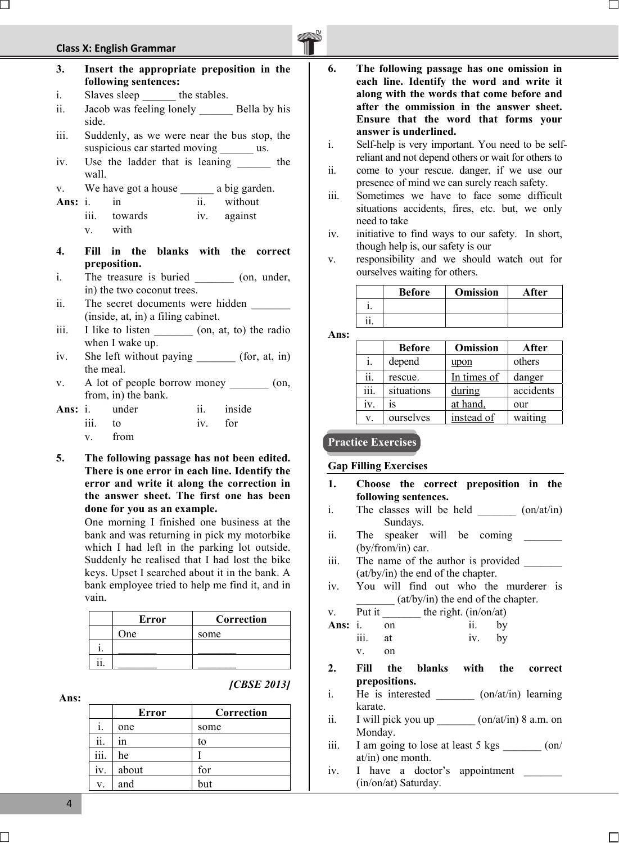# **Class X: English Grammar**



- **3. Insert the appropriate preposition in the following sentences:** i. Slaves sleep the stables. ii. Jacob was feeling lonely Bella by his
- side.
- iii. Suddenly, as we were near the bus stop, the suspicious car started moving \_\_\_\_\_\_ us.
- iv. Use the ladder that is leaning the wall.
- v. We have got a house \_\_\_\_\_\_\_\_ a big garden.
- Ans: i. in ii. without
	- iii. towards iv. against v. with
- **4. Fill in the blanks with the correct preposition.**
- i. The treasure is buried \_\_\_\_\_\_\_\_ (on, under, in) the two coconut trees.
- ii. The secret documents were hidden (inside, at, in) a filing cabinet.
- iii. I like to listen (on, at, to) the radio when I wake up.
- iv. She left without paying (for, at, in) the meal.
- v. A lot of people borrow money \_\_\_\_\_\_\_\_ (on, from, in) the bank.
- Ans: i. under ii. inside iii. to iv. for v. from
- **5. The following passage has not been edited. There is one error in each line. Identify the error and write it along the correction in the answer sheet. The first one has been done for you as an example.**

One morning I finished one business at the bank and was returning in pick my motorbike which I had left in the parking lot outside. Suddenly he realised that I had lost the bike keys. Upset I searched about it in the bank. A bank employee tried to help me find it, and in vain.

| Error | Correction |
|-------|------------|
| One   | some       |
|       |            |
|       |            |

 **Ans:**

| <b>[CBSE 2013]</b> |  |
|--------------------|--|
|                    |  |

|      | <b>Error</b> | Correction |
|------|--------------|------------|
|      | one          | some       |
| ii.  | 1n           | to         |
| iii. | he           |            |
| iv.  | about        | for        |
| V.   | and          | but        |

- **6. The following passage has one omission in each line. Identify the word and write it along with the words that come before and after the ommission in the answer sheet. Ensure that the word that forms your answer is underlined.**
- i. Self-help is very important. You need to be selfreliant and not depend others or wait for others to
- ii. come to your rescue. danger, if we use our presence of mind we can surely reach safety.
- iii. Sometimes we have to face some difficult situations accidents, fires, etc. but, we only need to take
- iv. initiative to find ways to our safety. In short, though help is, our safety is our
- v. responsibility and we should watch out for ourselves waiting for others.

| <b>Before</b> | <b>Omission</b> | After |
|---------------|-----------------|-------|
|               |                 |       |
|               |                 |       |

**Ans:** 

|      | <b>Before</b> | <b>Omission</b> | After     |
|------|---------------|-----------------|-----------|
| 1.   | depend        | upon            | others    |
| ii.  | rescue.       | In times of     | danger    |
| iii. | situations    | during          | accidents |
| iv.  | 1S            | at hand.        | our       |
| V.   | ourselves     | instead of      | waiting   |

#### **Practice Exercises**

#### **Gap Filling Exercises**

- **1. Choose the correct preposition in the following sentences.**
- i. The classes will be held  $\qquad \qquad$   $\qquad \qquad$   $\qquad \qquad$   $\qquad \qquad$   $\qquad \qquad$   $\qquad \qquad$   $\qquad \qquad$   $\qquad \qquad$   $\qquad \qquad$   $\qquad$   $\qquad \qquad$   $\qquad \qquad$   $\qquad \qquad$   $\qquad \qquad$   $\qquad$   $\qquad$   $\qquad$   $\qquad \qquad$   $\qquad \qquad$   $\qquad$   $\qquad$   $\qquad$   $\qquad$   $\qquad$   $\qquad$ Sundays.
- ii. The speaker will be coming (by/from/in) car.
- iii. The name of the author is provided \_\_\_\_\_\_\_ (at/by/in) the end of the chapter.
- iv. You will find out who the murderer is  $(at/by/in)$  the end of the chapter.
- v. Put it  $\frac{1}{\sqrt{1-\frac{1}{\pi}}}$  the right. (in/on/at) Ans: i. on ii. by iii. at iv. by v. on
- **2. Fill the blanks with the correct prepositions.**
- i. He is interested \_\_\_\_\_\_\_ (on/at/in) learning karate.
- ii. I will pick you up  $\left(\frac{\text{on}}{\text{at}}\right)$  8 a.m. on Monday.
- iii. I am going to lose at least  $5 \text{ kgs}$  (on/ at/in) one month.
- iv. I have a doctor's appointment (in/on/at) Saturday.